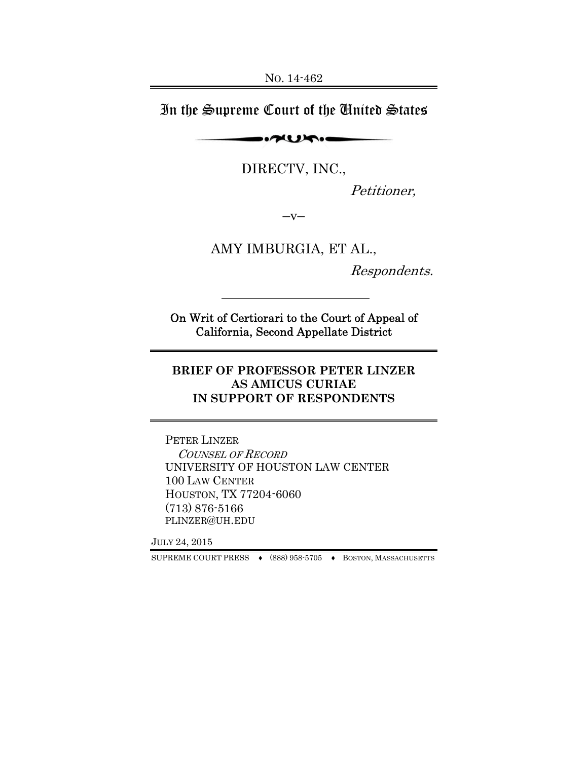In the Supreme Court of the United States

 $\sim$ 

DIRECTV, INC.,

Petitioner,

 $-V-$ 

AMY IMBURGIA, ET AL.,

Respondents.

On Writ of Certiorari to the Court of Appeal of California, Second Appellate District

**BRIEF OF PROFESSOR PETER LINZER AS AMICUS CURIAE IN SUPPORT OF RESPONDENTS** 

PETER LINZER COUNSEL OF RECORD UNIVERSITY OF HOUSTON LAW CENTER 100 LAW CENTER HOUSTON, TX 77204-6060 (713) 876-5166 PLINZER@UH.EDU

JULY 24, 2015

SUPREME COURT PRESS ♦ (888) 958-5705 ♦ BOSTON, MASSACHUSETTS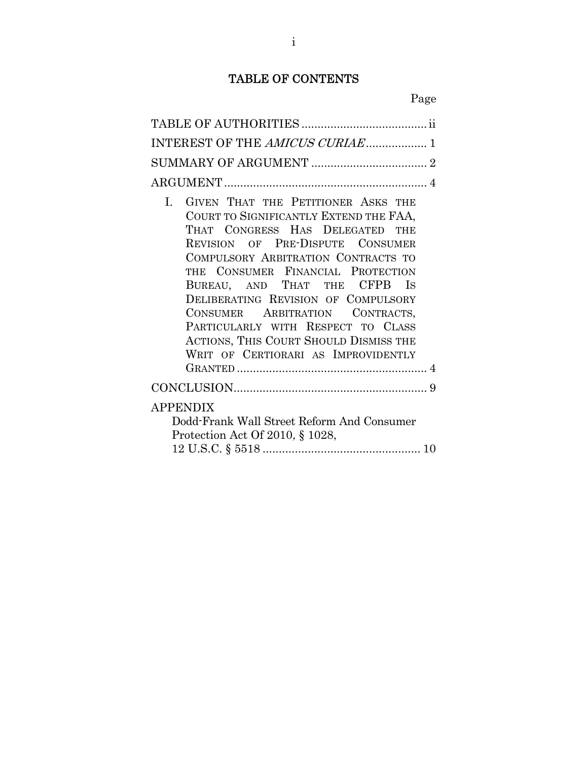## TABLE OF CONTENTS

| INTEREST OF THE AMICUS CURIAE 1                                                                                                                                                                                                                                                                                                                                                                                                                                                  |
|----------------------------------------------------------------------------------------------------------------------------------------------------------------------------------------------------------------------------------------------------------------------------------------------------------------------------------------------------------------------------------------------------------------------------------------------------------------------------------|
|                                                                                                                                                                                                                                                                                                                                                                                                                                                                                  |
|                                                                                                                                                                                                                                                                                                                                                                                                                                                                                  |
| GIVEN THAT THE PETITIONER ASKS THE<br>$\mathbf{L}$<br>COURT TO SIGNIFICANTLY EXTEND THE FAA,<br>THAT CONGRESS HAS DELEGATED THE<br>REVISION OF PRE-DISPUTE CONSUMER<br>COMPULSORY ARBITRATION CONTRACTS TO<br>THE CONSUMER FINANCIAL PROTECTION<br>BUREAU, AND THAT THE CFPB IS<br>DELIBERATING REVISION OF COMPULSORY<br>CONSUMER ARBITRATION CONTRACTS,<br>PARTICULARLY WITH RESPECT TO CLASS<br>ACTIONS, THIS COURT SHOULD DISMISS THE<br>WRIT OF CERTIORARI AS IMPROVIDENTLY |
|                                                                                                                                                                                                                                                                                                                                                                                                                                                                                  |
| <b>APPENDIX</b><br>Dodd-Frank Wall Street Reform And Consumer<br>Protection Act Of 2010, § 1028,                                                                                                                                                                                                                                                                                                                                                                                 |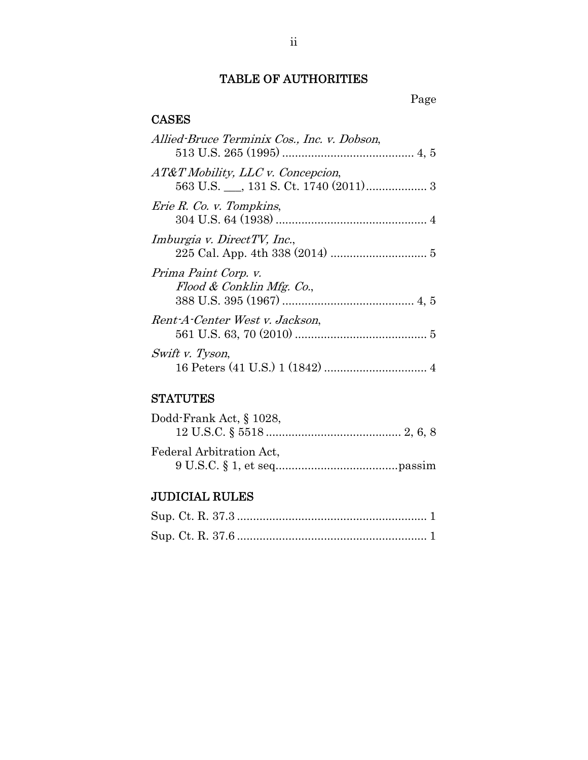# TABLE OF AUTHORITIES

### **CASES**

| Allied-Bruce Terminix Cos., Inc. v. Dobson,       |  |
|---------------------------------------------------|--|
| $AT\&T$ Mobility, LLC v. Concepcion,              |  |
| Erie R. Co. v. Tompkins,                          |  |
| Imburgia v. DirectTV, Inc.,                       |  |
| Prima Paint Corp. v.<br>Flood & Conklin Mfg. Co., |  |
| Rent-A-Center West v. Jackson,                    |  |
| Swift v. Tyson,                                   |  |

# **STATUTES**

| Dodd-Frank Act, § 1028,  |  |
|--------------------------|--|
|                          |  |
| Federal Arbitration Act, |  |
|                          |  |

# JUDICIAL RULES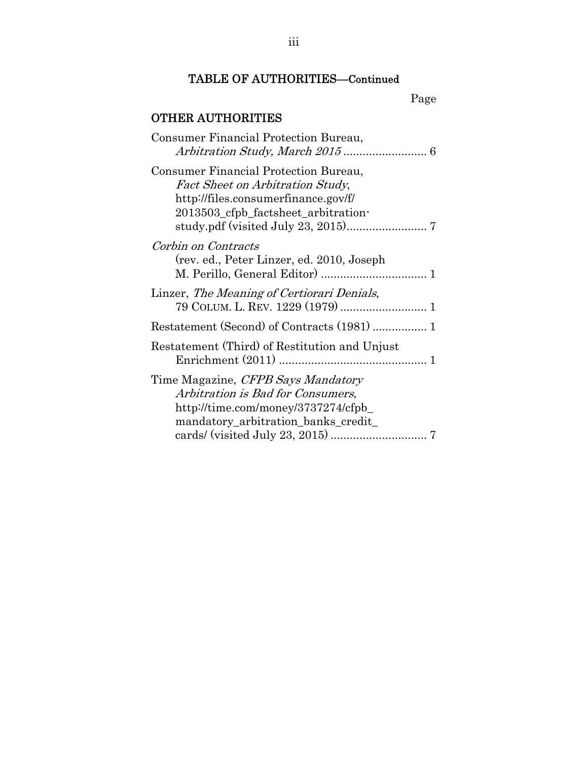# TABLE OF AUTHORITIES—Continued

# OTHER AUTHORITIES

| Consumer Financial Protection Bureau,                                                                                                                          |  |
|----------------------------------------------------------------------------------------------------------------------------------------------------------------|--|
| Consumer Financial Protection Bureau,<br><b>Fact Sheet on Arbitration Study,</b><br>http://files.consumerfinance.gov/f/<br>2013503_cfpb_factsheet_arbitration- |  |
| Corbin on Contracts<br>(rev. ed., Peter Linzer, ed. 2010, Joseph                                                                                               |  |
| Linzer, The Meaning of Certiorari Denials,                                                                                                                     |  |
|                                                                                                                                                                |  |
| Restatement (Third) of Restitution and Unjust                                                                                                                  |  |
| Time Magazine, <i>CFPB Says Mandatory</i><br>Arbitration is Bad for Consumers,<br>http://time.com/money/3737274/cfpb_<br>mandatory_arbitration_banks_credit_   |  |
|                                                                                                                                                                |  |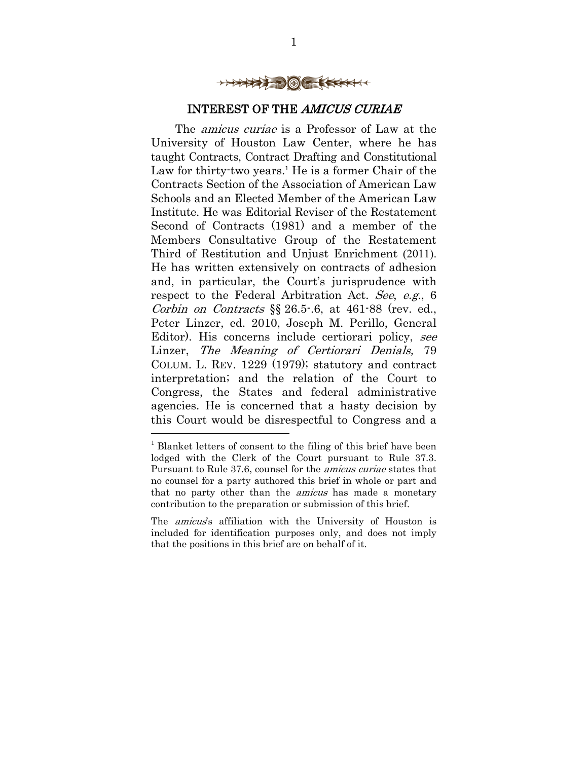

### INTEREST OF THE AMICUS CURIAE

The amicus curiae is a Professor of Law at the University of Houston Law Center, where he has taught Contracts, Contract Drafting and Constitutional Law for thirty-two years.<sup>1</sup> He is a former Chair of the Contracts Section of the Association of American Law Schools and an Elected Member of the American Law Institute. He was Editorial Reviser of the Restatement Second of Contracts (1981) and a member of the Members Consultative Group of the Restatement Third of Restitution and Unjust Enrichment (2011). He has written extensively on contracts of adhesion and, in particular, the Court's jurisprudence with respect to the Federal Arbitration Act. See, e.g., 6 Corbin on Contracts  $\S$  26.5-.6, at 461-88 (rev. ed., Peter Linzer, ed. 2010, Joseph M. Perillo, General Editor). His concerns include certiorari policy, see Linzer, The Meaning of Certiorari Denials, 79 COLUM. L. REV. 1229 (1979); statutory and contract interpretation; and the relation of the Court to Congress, the States and federal administrative agencies. He is concerned that a hasty decision by this Court would be disrespectful to Congress and a

<u>.</u>

The *amicus*'s affiliation with the University of Houston is included for identification purposes only, and does not imply that the positions in this brief are on behalf of it.

<sup>&</sup>lt;sup>1</sup> Blanket letters of consent to the filing of this brief have been lodged with the Clerk of the Court pursuant to Rule 37.3. Pursuant to Rule 37.6, counsel for the amicus curiae states that no counsel for a party authored this brief in whole or part and that no party other than the *amicus* has made a monetary contribution to the preparation or submission of this brief.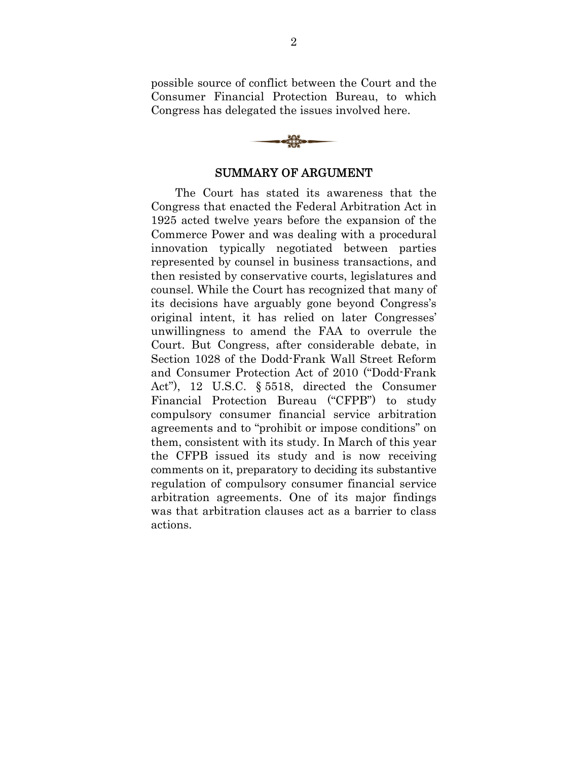possible source of conflict between the Court and the Consumer Financial Protection Bureau, to which Congress has delegated the issues involved here.



#### SUMMARY OF ARGUMENT

The Court has stated its awareness that the Congress that enacted the Federal Arbitration Act in 1925 acted twelve years before the expansion of the Commerce Power and was dealing with a procedural innovation typically negotiated between parties represented by counsel in business transactions, and then resisted by conservative courts, legislatures and counsel. While the Court has recognized that many of its decisions have arguably gone beyond Congress's original intent, it has relied on later Congresses' unwillingness to amend the FAA to overrule the Court. But Congress, after considerable debate, in Section 1028 of the Dodd-Frank Wall Street Reform and Consumer Protection Act of 2010 ("Dodd-Frank Act"), 12 U.S.C. § 5518, directed the Consumer Financial Protection Bureau ("CFPB") to study compulsory consumer financial service arbitration agreements and to "prohibit or impose conditions" on them, consistent with its study. In March of this year the CFPB issued its study and is now receiving comments on it, preparatory to deciding its substantive regulation of compulsory consumer financial service arbitration agreements. One of its major findings was that arbitration clauses act as a barrier to class actions.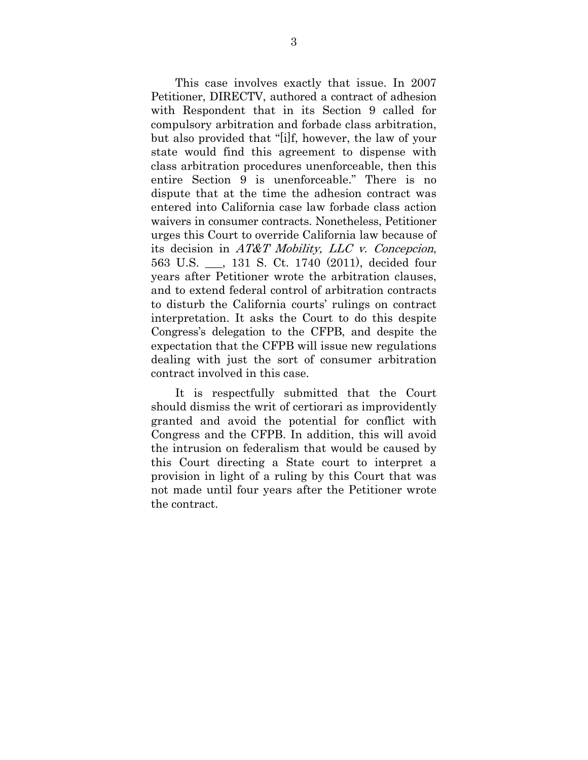This case involves exactly that issue. In 2007 Petitioner, DIRECTV, authored a contract of adhesion with Respondent that in its Section 9 called for compulsory arbitration and forbade class arbitration, but also provided that "[i]f, however, the law of your state would find this agreement to dispense with class arbitration procedures unenforceable, then this entire Section 9 is unenforceable." There is no dispute that at the time the adhesion contract was entered into California case law forbade class action waivers in consumer contracts. Nonetheless, Petitioner urges this Court to override California law because of its decision in AT&T Mobility, LLC v. Concepcion, 563 U.S. \_\_\_, 131 S. Ct. 1740 (2011), decided four years after Petitioner wrote the arbitration clauses, and to extend federal control of arbitration contracts to disturb the California courts' rulings on contract interpretation. It asks the Court to do this despite Congress's delegation to the CFPB, and despite the expectation that the CFPB will issue new regulations dealing with just the sort of consumer arbitration contract involved in this case.

It is respectfully submitted that the Court should dismiss the writ of certiorari as improvidently granted and avoid the potential for conflict with Congress and the CFPB. In addition, this will avoid the intrusion on federalism that would be caused by this Court directing a State court to interpret a provision in light of a ruling by this Court that was not made until four years after the Petitioner wrote the contract.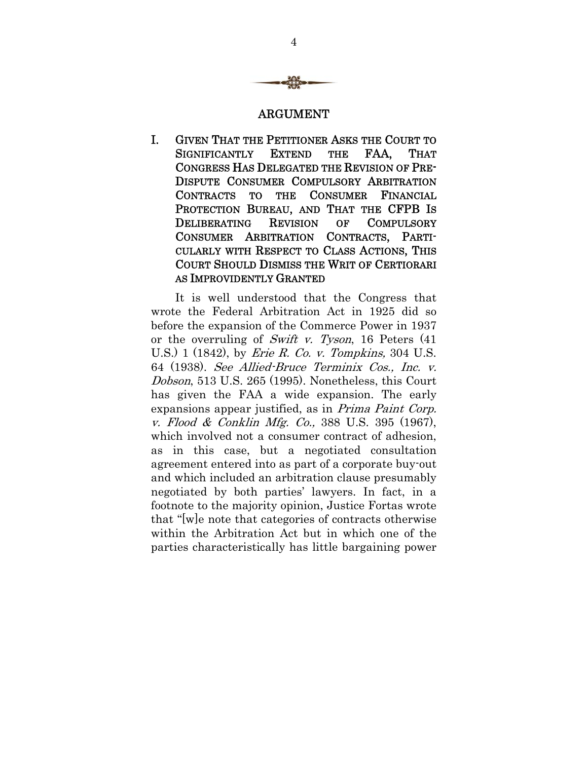

#### ARGUMENT

I. GIVEN THAT THE PETITIONER ASKS THE COURT TO SIGNIFICANTLY EXTEND THE FAA, THAT CONGRESS HAS DELEGATED THE REVISION OF PRE-DISPUTE CONSUMER COMPULSORY ARBITRATION CONTRACTS TO THE CONSUMER FINANCIAL PROTECTION BUREAU, AND THAT THE CFPB IS DELIBERATING REVISION OF COMPULSORY CONSUMER ARBITRATION CONTRACTS, PARTI-CULARLY WITH RESPECT TO CLASS ACTIONS, THIS COURT SHOULD DISMISS THE WRIT OF CERTIORARI AS IMPROVIDENTLY GRANTED

It is well understood that the Congress that wrote the Federal Arbitration Act in 1925 did so before the expansion of the Commerce Power in 1937 or the overruling of Swift v. Tyson, 16 Peters  $(41)$ U.S. 1 (1842), by *Erie R. Co. v. Tompkins*, 304 U.S. 64 (1938). See Allied-Bruce Terminix Cos., Inc. v. Dobson, 513 U.S. 265 (1995). Nonetheless, this Court has given the FAA a wide expansion. The early expansions appear justified, as in *Prima Paint Corp.* v. Flood & Conklin Mfg. Co., 388 U.S. 395 (1967), which involved not a consumer contract of adhesion, as in this case, but a negotiated consultation agreement entered into as part of a corporate buy-out and which included an arbitration clause presumably negotiated by both parties' lawyers. In fact, in a footnote to the majority opinion, Justice Fortas wrote that "[w]e note that categories of contracts otherwise within the Arbitration Act but in which one of the parties characteristically has little bargaining power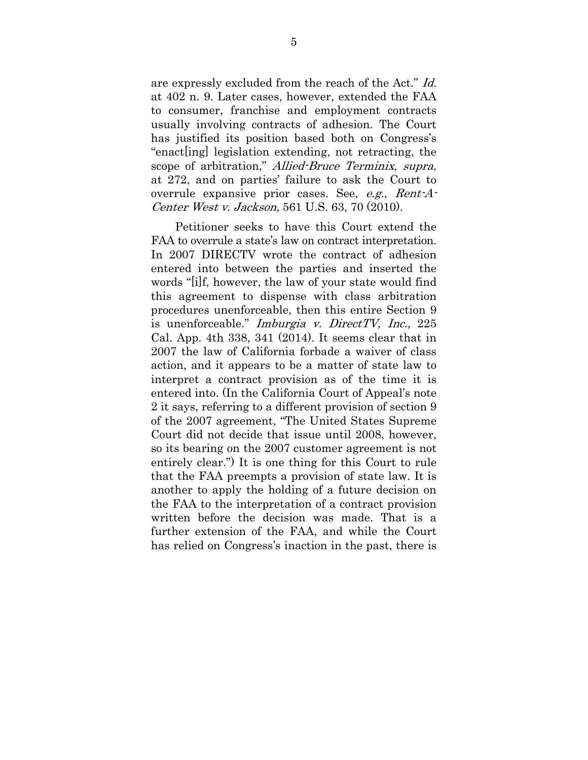are expressly excluded from the reach of the Act." Id. at 402 n. 9. Later cases, however, extended the FAA to consumer, franchise and employment contracts usually involving contracts of adhesion. The Court has justified its position based both on Congress's "enact[ing] legislation extending, not retracting, the scope of arbitration," Allied-Bruce Terminix, supra, at 272, and on parties' failure to ask the Court to overrule expansive prior cases. See, e.g., Rent-A-Center West v. Jackson, 561 U.S. 63, 70 (2010).

Petitioner seeks to have this Court extend the FAA to overrule a state's law on contract interpretation. In 2007 DIRECTV wrote the contract of adhesion entered into between the parties and inserted the words "[i]f, however, the law of your state would find this agreement to dispense with class arbitration procedures unenforceable, then this entire Section 9 is unenforceable." *Imburgia v. DirectTV, Inc.*, 225 Cal. App. 4th 338, 341 (2014). It seems clear that in 2007 the law of California forbade a waiver of class action, and it appears to be a matter of state law to interpret a contract provision as of the time it is entered into. (In the California Court of Appeal's note 2 it says, referring to a different provision of section 9 of the 2007 agreement, "The United States Supreme Court did not decide that issue until 2008, however, so its bearing on the 2007 customer agreement is not entirely clear.") It is one thing for this Court to rule that the FAA preempts a provision of state law. It is another to apply the holding of a future decision on the FAA to the interpretation of a contract provision written before the decision was made. That is a further extension of the FAA, and while the Court has relied on Congress's inaction in the past, there is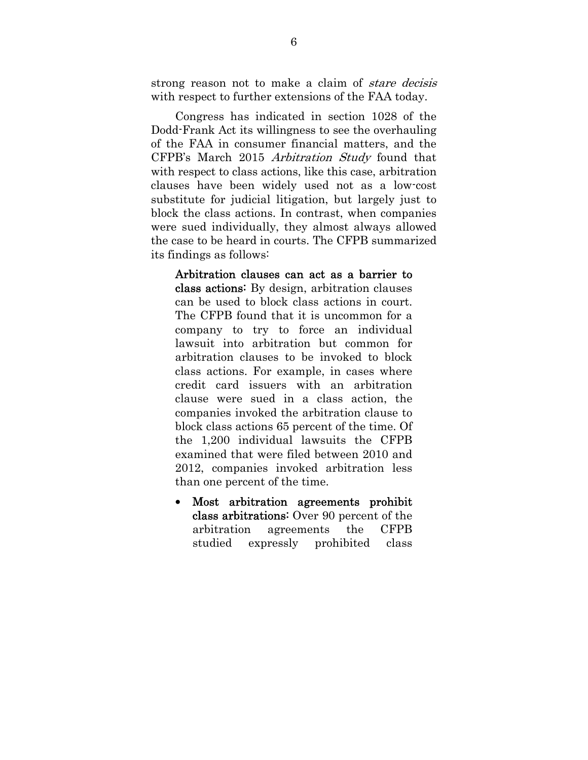strong reason not to make a claim of *stare decisis* with respect to further extensions of the FAA today.

Congress has indicated in section 1028 of the Dodd-Frank Act its willingness to see the overhauling of the FAA in consumer financial matters, and the CFPB's March 2015 Arbitration Study found that with respect to class actions, like this case, arbitration clauses have been widely used not as a low-cost substitute for judicial litigation, but largely just to block the class actions. In contrast, when companies were sued individually, they almost always allowed the case to be heard in courts. The CFPB summarized its findings as follows:

Arbitration clauses can act as a barrier to class actions: By design, arbitration clauses can be used to block class actions in court. The CFPB found that it is uncommon for a company to try to force an individual lawsuit into arbitration but common for arbitration clauses to be invoked to block class actions. For example, in cases where credit card issuers with an arbitration clause were sued in a class action, the companies invoked the arbitration clause to block class actions 65 percent of the time. Of the 1,200 individual lawsuits the CFPB examined that were filed between 2010 and 2012, companies invoked arbitration less than one percent of the time.

 Most arbitration agreements prohibit class arbitrations: Over 90 percent of the arbitration agreements the CFPB studied expressly prohibited class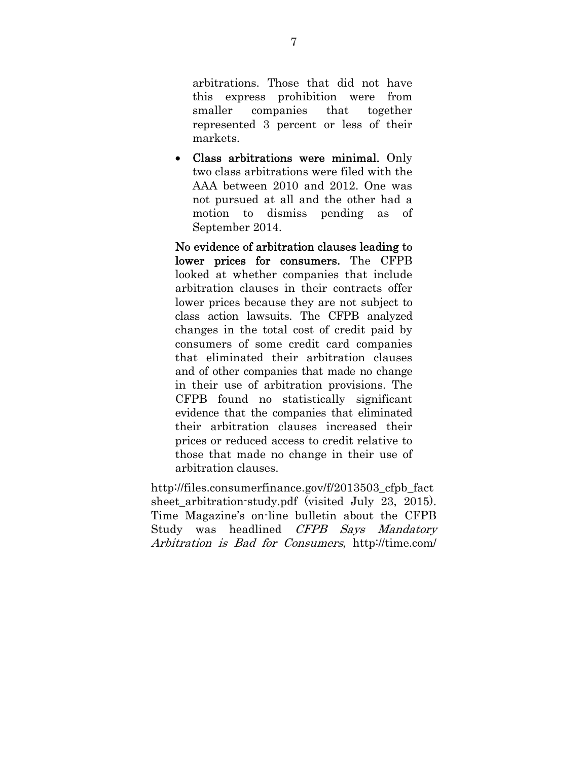arbitrations. Those that did not have this express prohibition were from smaller companies that together represented 3 percent or less of their markets.

 Class arbitrations were minimal. Only two class arbitrations were filed with the AAA between 2010 and 2012. One was not pursued at all and the other had a motion to dismiss pending as of September 2014.

No evidence of arbitration clauses leading to lower prices for consumers. The CFPB looked at whether companies that include arbitration clauses in their contracts offer lower prices because they are not subject to class action lawsuits. The CFPB analyzed changes in the total cost of credit paid by consumers of some credit card companies that eliminated their arbitration clauses and of other companies that made no change in their use of arbitration provisions. The CFPB found no statistically significant evidence that the companies that eliminated their arbitration clauses increased their prices or reduced access to credit relative to those that made no change in their use of arbitration clauses.

http://files.consumerfinance.gov/f/2013503\_cfpb\_fact sheet\_arbitration-study.pdf (visited July 23, 2015). Time Magazine's on-line bulletin about the CFPB Study was headlined CFPB Says Mandatory Arbitration is Bad for Consumers, http://time.com/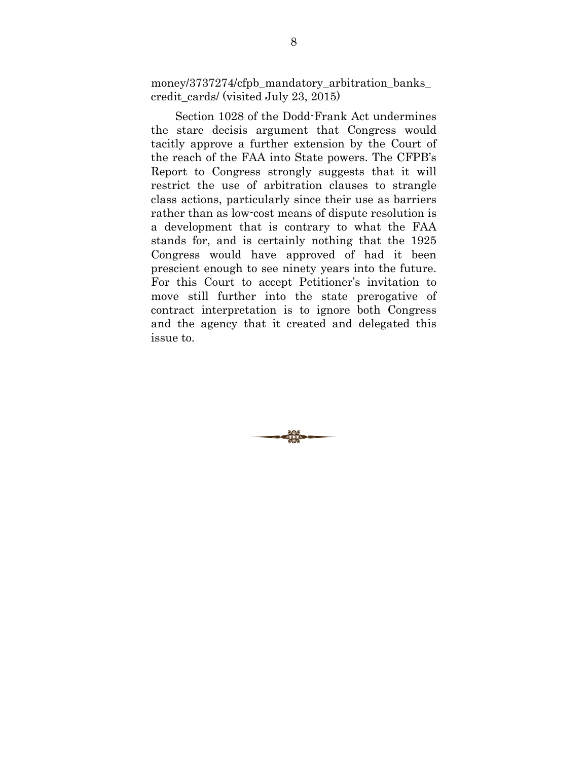money/3737274/cfpb\_mandatory\_arbitration\_banks\_ credit\_cards/ (visited July 23, 2015)

Section 1028 of the Dodd-Frank Act undermines the stare decisis argument that Congress would tacitly approve a further extension by the Court of the reach of the FAA into State powers. The CFPB's Report to Congress strongly suggests that it will restrict the use of arbitration clauses to strangle class actions, particularly since their use as barriers rather than as low-cost means of dispute resolution is a development that is contrary to what the FAA stands for, and is certainly nothing that the 1925 Congress would have approved of had it been prescient enough to see ninety years into the future. For this Court to accept Petitioner's invitation to move still further into the state prerogative of contract interpretation is to ignore both Congress and the agency that it created and delegated this issue to.

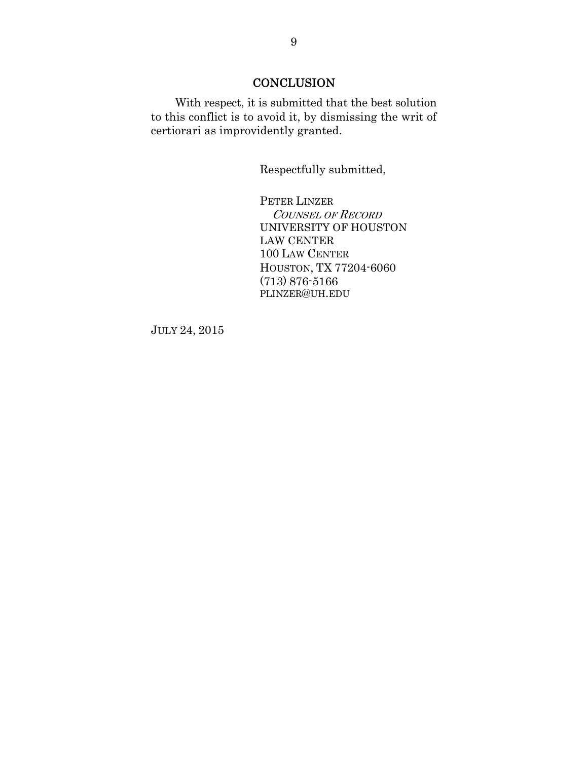### **CONCLUSION**

With respect, it is submitted that the best solution to this conflict is to avoid it, by dismissing the writ of certiorari as improvidently granted.

Respectfully submitted,

PETER LINZER COUNSEL OF RECORD UNIVERSITY OF HOUSTON LAW CENTER 100 LAW CENTER HOUSTON, TX 77204-6060 (713) 876-5166 PLINZER@UH.EDU

JULY 24, 2015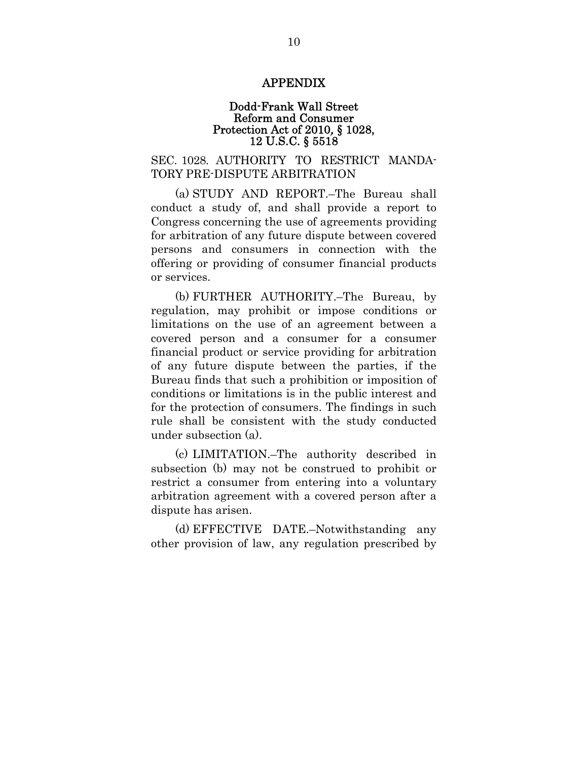#### APPENDIX

#### Dodd-Frank Wall Street Reform and Consumer Protection Act of 2010, § 1028, 12 U.S.C. § 5518

#### SEC. 1028. AUTHORITY TO RESTRICT MANDA-TORY PRE-DISPUTE ARBITRATION

(a) STUDY AND REPORT.–The Bureau shall conduct a study of, and shall provide a report to Congress concerning the use of agreements providing for arbitration of any future dispute between covered persons and consumers in connection with the offering or providing of consumer financial products or services.

(b) FURTHER AUTHORITY.–The Bureau, by regulation, may prohibit or impose conditions or limitations on the use of an agreement between a covered person and a consumer for a consumer financial product or service providing for arbitration of any future dispute between the parties, if the Bureau finds that such a prohibition or imposition of conditions or limitations is in the public interest and for the protection of consumers. The findings in such rule shall be consistent with the study conducted under subsection (a).

(c) LIMITATION.–The authority described in subsection (b) may not be construed to prohibit or restrict a consumer from entering into a voluntary arbitration agreement with a covered person after a dispute has arisen.

(d) EFFECTIVE DATE.–Notwithstanding any other provision of law, any regulation prescribed by